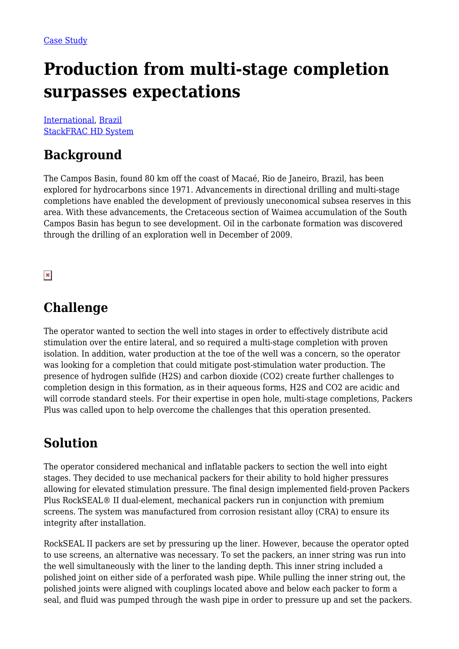# **Production from multi-stage completion surpasses expectations**

[International](https://packersplus.com/proven-performance/?region=international#listing), [Brazil](https://packersplus.com/proven-performance/?formation=brazil#listing) [StackFRAC HD System](https://packersplus.com/proven-performance/?system=stackfrac-hd-system#listing)

### **Background**

The Campos Basin, found 80 km off the coast of Macaé, Rio de Janeiro, Brazil, has been explored for hydrocarbons since 1971. Advancements in directional drilling and multi-stage completions have enabled the development of previously uneconomical subsea reserves in this area. With these advancements, the Cretaceous section of Waimea accumulation of the South Campos Basin has begun to see development. Oil in the carbonate formation was discovered through the drilling of an exploration well in December of 2009.

 $\pmb{\times}$ 

#### **Challenge**

The operator wanted to section the well into stages in order to effectively distribute acid stimulation over the entire lateral, and so required a multi-stage completion with proven isolation. In addition, water production at the toe of the well was a concern, so the operator was looking for a completion that could mitigate post-stimulation water production. The presence of hydrogen sulfide (H2S) and carbon dioxide (CO2) create further challenges to completion design in this formation, as in their aqueous forms, H2S and CO2 are acidic and will corrode standard steels. For their expertise in open hole, multi-stage completions, Packers Plus was called upon to help overcome the challenges that this operation presented.

### **Solution**

The operator considered mechanical and inflatable packers to section the well into eight stages. They decided to use mechanical packers for their ability to hold higher pressures allowing for elevated stimulation pressure. The final design implemented field-proven Packers Plus RockSEAL® II dual-element, mechanical packers run in conjunction with premium screens. The system was manufactured from corrosion resistant alloy (CRA) to ensure its integrity after installation.

RockSEAL II packers are set by pressuring up the liner. However, because the operator opted to use screens, an alternative was necessary. To set the packers, an inner string was run into the well simultaneously with the liner to the landing depth. This inner string included a polished joint on either side of a perforated wash pipe. While pulling the inner string out, the polished joints were aligned with couplings located above and below each packer to form a seal, and fluid was pumped through the wash pipe in order to pressure up and set the packers.